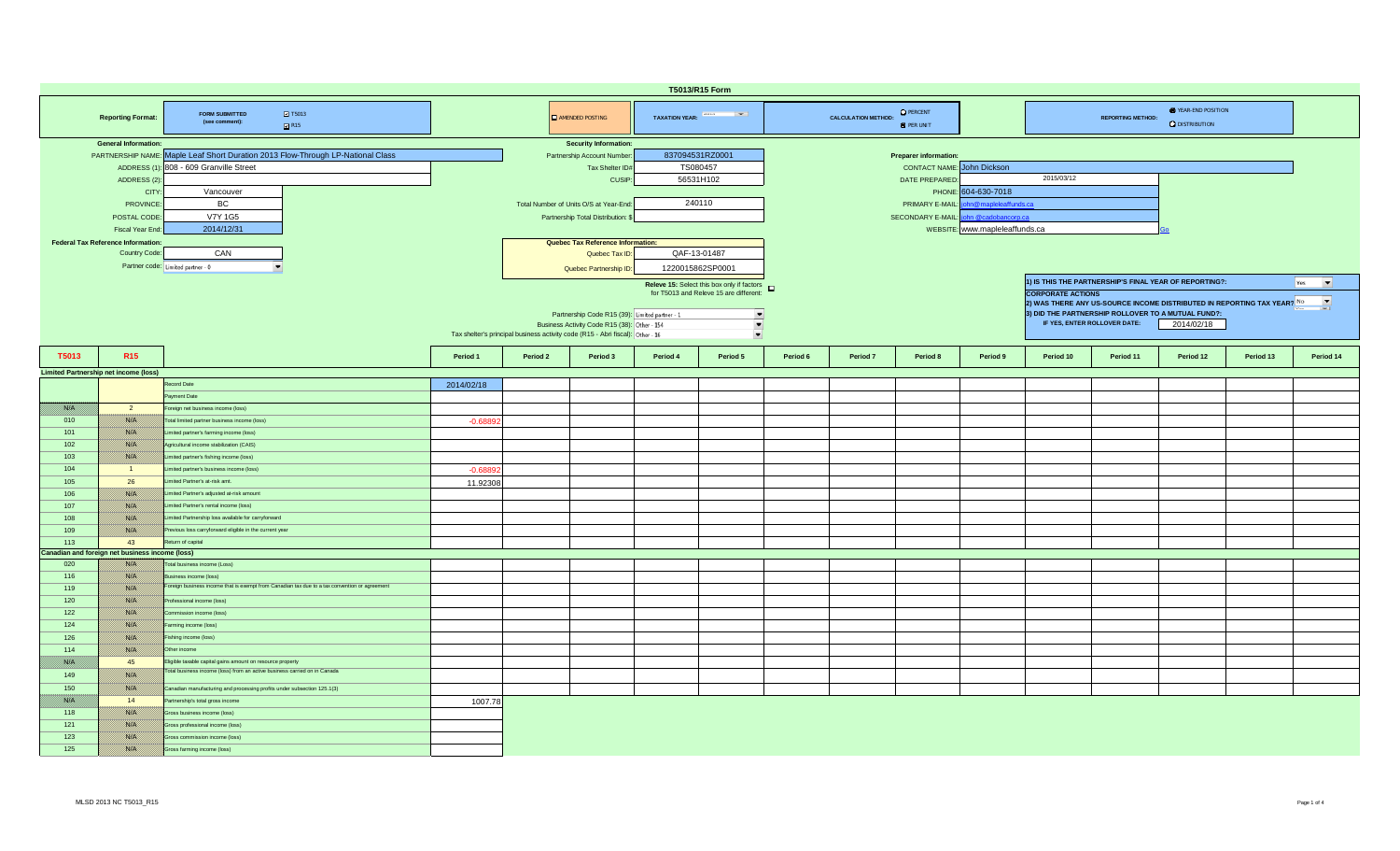| T5013/R15 Form |                                                 |                                                                                               |            |                                   |                                                                                |                            |                                                     |                                   |                            |                                       |                                |                                                                                                     |                              |                                                        |           |                                 |  |  |  |  |  |
|----------------|-------------------------------------------------|-----------------------------------------------------------------------------------------------|------------|-----------------------------------|--------------------------------------------------------------------------------|----------------------------|-----------------------------------------------------|-----------------------------------|----------------------------|---------------------------------------|--------------------------------|-----------------------------------------------------------------------------------------------------|------------------------------|--------------------------------------------------------|-----------|---------------------------------|--|--|--|--|--|
|                | <b>Reporting Format:</b>                        | <b>2</b> T5013<br><b>FORM SUBMITTED</b><br>(see comment):<br>R15                              |            |                                   | <b>AMENDED POSTING</b>                                                         | TAXATION YEAR: And Taxable |                                                     |                                   | <b>CALCULATION METHOD:</b> | <b>O</b> PERCENT<br><b>O</b> PER UNIT |                                |                                                                                                     | <b>REPORTING METHOD:</b>     | <b>E</b> YEAR-END POSITION<br><b>Q</b> DISTRIBUTION    |           |                                 |  |  |  |  |  |
|                | <b>General Information:</b>                     |                                                                                               |            |                                   | <b>Security Information:</b>                                                   |                            |                                                     |                                   |                            |                                       |                                |                                                                                                     |                              |                                                        |           |                                 |  |  |  |  |  |
|                |                                                 | PARTNERSHIP NAME: Maple Leaf Short Duration 2013 Flow-Through LP-National Class               |            |                                   | Partnership Account Number                                                     | 837094531RZ0001            |                                                     |                                   |                            | <b>Preparer information:</b>          |                                |                                                                                                     |                              |                                                        |           |                                 |  |  |  |  |  |
|                |                                                 | ADDRESS (1): 808 - 609 Granville Street                                                       |            |                                   | Tax Shelter ID#                                                                | TS080457                   |                                                     | <b>CONTACT NAME:</b> John Dickson |                            |                                       |                                |                                                                                                     |                              |                                                        |           |                                 |  |  |  |  |  |
|                | ADDRESS (2)                                     |                                                                                               |            |                                   | CUSIP:                                                                         | 56531H102                  |                                                     | 2015/03/12<br>DATE PREPARED       |                            |                                       |                                |                                                                                                     |                              |                                                        |           |                                 |  |  |  |  |  |
|                | <b>CITY</b>                                     | Vancouver                                                                                     |            |                                   |                                                                                |                            |                                                     | 604-630-7018<br>PHONE:            |                            |                                       |                                |                                                                                                     |                              |                                                        |           |                                 |  |  |  |  |  |
|                |                                                 | BC                                                                                            |            |                                   |                                                                                | 240110                     |                                                     | n@mapleleaffunds.ca               |                            |                                       |                                |                                                                                                     |                              |                                                        |           |                                 |  |  |  |  |  |
|                | <b>PROVINCE</b>                                 |                                                                                               |            |                                   | Total Number of Units O/S at Year-End                                          |                            |                                                     |                                   |                            | PRIMARY E-MAIL:                       |                                |                                                                                                     |                              |                                                        |           |                                 |  |  |  |  |  |
|                | POSTAL CODE                                     | <b>V7Y 1G5</b>                                                                                |            |                                   | Partnership Total Distribution:                                                |                            |                                                     |                                   |                            | SECONDARY E-MAIL:                     | ohn @cadobancorp.ca            |                                                                                                     |                              |                                                        |           |                                 |  |  |  |  |  |
|                | Fiscal Year End                                 | 2014/12/31                                                                                    |            |                                   |                                                                                |                            |                                                     |                                   |                            |                                       | WEBSITE: www.mapleleaffunds.ca |                                                                                                     |                              |                                                        |           |                                 |  |  |  |  |  |
|                | <b>Federal Tax Reference Information:</b>       |                                                                                               |            | Quebec Tax Reference Information: |                                                                                |                            |                                                     |                                   |                            |                                       |                                |                                                                                                     |                              |                                                        |           |                                 |  |  |  |  |  |
|                | Country Code:                                   | CAN                                                                                           |            |                                   | Quebec Tax ID:                                                                 | QAF-13-01487               |                                                     |                                   |                            |                                       |                                |                                                                                                     |                              |                                                        |           |                                 |  |  |  |  |  |
|                |                                                 | Partner code: Limited partner - 0                                                             |            |                                   |                                                                                |                            |                                                     |                                   |                            |                                       |                                |                                                                                                     |                              |                                                        |           |                                 |  |  |  |  |  |
|                |                                                 |                                                                                               |            |                                   | Quebec Partnership ID:                                                         | 1220015862SP0001           |                                                     |                                   |                            |                                       |                                |                                                                                                     |                              |                                                        |           |                                 |  |  |  |  |  |
|                |                                                 |                                                                                               |            |                                   |                                                                                |                            | Releve 15: Select this box only if factors <b>D</b> |                                   |                            |                                       |                                |                                                                                                     |                              | 1) IS THIS THE PARTNERSHIP'S FINAL YEAR OF REPORTING?: |           | $\overline{\phantom{a}}$<br>Yes |  |  |  |  |  |
|                |                                                 |                                                                                               |            |                                   |                                                                                |                            | for T5013 and Releve 15 are different:              |                                   |                            |                                       |                                | <b>CORPORATE ACTIONS</b>                                                                            |                              |                                                        |           |                                 |  |  |  |  |  |
|                |                                                 |                                                                                               |            |                                   |                                                                                |                            |                                                     |                                   |                            |                                       |                                | $\overline{\phantom{a}}$<br>2) WAS THERE ANY US-SOURCE INCOME DISTRIBUTED IN REPORTING TAX YEAR? No |                              |                                                        |           |                                 |  |  |  |  |  |
|                |                                                 |                                                                                               |            |                                   | Partnership Code R15 (39): Limited partner - 1                                 |                            | ᅴ                                                   |                                   |                            |                                       |                                |                                                                                                     |                              | 3) DID THE PARTNERSHIP ROLLOVER TO A MUTUAL FUND?:     |           |                                 |  |  |  |  |  |
|                |                                                 |                                                                                               |            |                                   | Business Activity Code R15 (38): Other - 154                                   |                            | $\blacksquare$                                      |                                   |                            |                                       |                                |                                                                                                     | IF YES, ENTER ROLLOVER DATE: | 2014/02/18                                             |           |                                 |  |  |  |  |  |
|                |                                                 |                                                                                               |            |                                   | Tax shelter's principal business activity code (R15 - Abri fiscal): Other - 16 |                            | $\overline{\phantom{a}}$                            |                                   |                            |                                       |                                |                                                                                                     |                              |                                                        |           |                                 |  |  |  |  |  |
|                |                                                 |                                                                                               |            |                                   |                                                                                |                            |                                                     |                                   |                            |                                       |                                |                                                                                                     |                              |                                                        |           |                                 |  |  |  |  |  |
| T5013          | <b>R15</b>                                      |                                                                                               | Period 1   | Period 2                          | Period 3                                                                       | Period 4                   | Period 5                                            | Period 6                          | Period 7                   | Period 8                              | Period 9                       | Period 10                                                                                           | Period 11                    | Period 12                                              | Period 13 | Period 14                       |  |  |  |  |  |
|                | <b>Limited Partnership net income (loss)</b>    |                                                                                               |            |                                   |                                                                                |                            |                                                     |                                   |                            |                                       |                                |                                                                                                     |                              |                                                        |           |                                 |  |  |  |  |  |
|                |                                                 | Record Date                                                                                   | 2014/02/18 |                                   |                                                                                |                            |                                                     |                                   |                            |                                       |                                |                                                                                                     |                              |                                                        |           |                                 |  |  |  |  |  |
|                |                                                 | Payment Date                                                                                  |            |                                   |                                                                                |                            |                                                     |                                   |                            |                                       |                                |                                                                                                     |                              |                                                        |           |                                 |  |  |  |  |  |
|                |                                                 |                                                                                               |            |                                   |                                                                                |                            |                                                     |                                   |                            |                                       |                                |                                                                                                     |                              |                                                        |           |                                 |  |  |  |  |  |
| i katika k     | $\overline{2}$                                  | Foreign net business income (loss)                                                            |            |                                   |                                                                                |                            |                                                     |                                   |                            |                                       |                                |                                                                                                     |                              |                                                        |           |                                 |  |  |  |  |  |
| 010            | <b>BALLA</b>                                    | Total limited partner business income (loss)                                                  | $-0.6889$  |                                   |                                                                                |                            |                                                     |                                   |                            |                                       |                                |                                                                                                     |                              |                                                        |           |                                 |  |  |  |  |  |
| 101            | <b>1880.000</b>                                 | Limited partner's farming income (loss)                                                       |            |                                   |                                                                                |                            |                                                     |                                   |                            |                                       |                                |                                                                                                     |                              |                                                        |           |                                 |  |  |  |  |  |
| 102            | 1880 EU                                         | Agricultural income stabilization (CAIS)                                                      |            |                                   |                                                                                |                            |                                                     |                                   |                            |                                       |                                |                                                                                                     |                              |                                                        |           |                                 |  |  |  |  |  |
| 103            | <u> Bibliott</u>                                | Limited partner's fishing income (loss)                                                       |            |                                   |                                                                                |                            |                                                     |                                   |                            |                                       |                                |                                                                                                     |                              |                                                        |           |                                 |  |  |  |  |  |
| 104            | $\blacksquare$                                  | Limited partner's business income (loss)                                                      | $-0.688$   |                                   |                                                                                |                            |                                                     |                                   |                            |                                       |                                |                                                                                                     |                              |                                                        |           |                                 |  |  |  |  |  |
| 105            | 26                                              | Limited Partner's at-risk amt.                                                                | 11.92308   |                                   |                                                                                |                            |                                                     |                                   |                            |                                       |                                |                                                                                                     |                              |                                                        |           |                                 |  |  |  |  |  |
|                |                                                 | Limited Partner's adjusted at-risk amount                                                     |            |                                   |                                                                                |                            |                                                     |                                   |                            |                                       |                                |                                                                                                     |                              |                                                        |           |                                 |  |  |  |  |  |
| 106            | <u> 1880. SV</u>                                |                                                                                               |            |                                   |                                                                                |                            |                                                     |                                   |                            |                                       |                                |                                                                                                     |                              |                                                        |           |                                 |  |  |  |  |  |
| 107            | 1880 EU                                         | Limited Partner's rental income (loss)                                                        |            |                                   |                                                                                |                            |                                                     |                                   |                            |                                       |                                |                                                                                                     |                              |                                                        |           |                                 |  |  |  |  |  |
| 108            | <b>BALLA</b>                                    | Limited Partnership loss available for carryforward                                           |            |                                   |                                                                                |                            |                                                     |                                   |                            |                                       |                                |                                                                                                     |                              |                                                        |           |                                 |  |  |  |  |  |
| 109            | <b>RACHI</b>                                    | Previous loss carryforward eligible in the current year                                       |            |                                   |                                                                                |                            |                                                     |                                   |                            |                                       |                                |                                                                                                     |                              |                                                        |           |                                 |  |  |  |  |  |
| 113            | 43                                              | Return of capital                                                                             |            |                                   |                                                                                |                            |                                                     |                                   |                            |                                       |                                |                                                                                                     |                              |                                                        |           |                                 |  |  |  |  |  |
|                | Canadian and foreign net business income (loss) |                                                                                               |            |                                   |                                                                                |                            |                                                     |                                   |                            |                                       |                                |                                                                                                     |                              |                                                        |           |                                 |  |  |  |  |  |
| 020            | 1883.C                                          | Total business income (Loss)                                                                  |            |                                   |                                                                                |                            |                                                     |                                   |                            |                                       |                                |                                                                                                     |                              |                                                        |           |                                 |  |  |  |  |  |
| 116            | <u>1880. SV</u>                                 | Business income (loss)                                                                        |            |                                   |                                                                                |                            |                                                     |                                   |                            |                                       |                                |                                                                                                     |                              |                                                        |           |                                 |  |  |  |  |  |
| 119            | 788 P                                           | Foreign business income that is exempt from Canadian tax due to a tax convention or agreement |            |                                   |                                                                                |                            |                                                     |                                   |                            |                                       |                                |                                                                                                     |                              |                                                        |           |                                 |  |  |  |  |  |
| 120            | <b>BALLA</b>                                    | Professional income (loss)                                                                    |            |                                   |                                                                                |                            |                                                     |                                   |                            |                                       |                                |                                                                                                     |                              |                                                        |           |                                 |  |  |  |  |  |
| 122            | <b>RACHI</b>                                    | Commission income (loss)                                                                      |            |                                   |                                                                                |                            |                                                     |                                   |                            |                                       |                                |                                                                                                     |                              |                                                        |           |                                 |  |  |  |  |  |
|                |                                                 |                                                                                               |            |                                   |                                                                                |                            |                                                     |                                   |                            |                                       |                                |                                                                                                     |                              |                                                        |           |                                 |  |  |  |  |  |
| 124            | <u> 1880. SV</u>                                | Farming income (loss)                                                                         |            |                                   |                                                                                |                            |                                                     |                                   |                            |                                       |                                |                                                                                                     |                              |                                                        |           |                                 |  |  |  |  |  |
| 126            | i sistemat                                      | Fishing income (loss)                                                                         |            |                                   |                                                                                |                            |                                                     |                                   |                            |                                       |                                |                                                                                                     |                              |                                                        |           |                                 |  |  |  |  |  |
| 114            | 788 B                                           | Other income                                                                                  |            |                                   |                                                                                |                            |                                                     |                                   |                            |                                       |                                |                                                                                                     |                              |                                                        |           |                                 |  |  |  |  |  |
| film a         | 45                                              | Eligible taxable capital gains amount on resource property                                    |            |                                   |                                                                                |                            |                                                     |                                   |                            |                                       |                                |                                                                                                     |                              |                                                        |           |                                 |  |  |  |  |  |
| 149            | 1880 EU                                         | Total business income (loss) from an active business carried on in Canada                     |            |                                   |                                                                                |                            |                                                     |                                   |                            |                                       |                                |                                                                                                     |                              |                                                        |           |                                 |  |  |  |  |  |
| 150            | 1880 Oʻli                                       | Canadian manufacturing and processing profits under subsection 125.1(3)                       |            |                                   |                                                                                |                            |                                                     |                                   |                            |                                       |                                |                                                                                                     |                              |                                                        |           |                                 |  |  |  |  |  |
|                |                                                 |                                                                                               |            |                                   |                                                                                |                            |                                                     |                                   |                            |                                       |                                |                                                                                                     |                              |                                                        |           |                                 |  |  |  |  |  |
| film a         | 14                                              | Partnership's total gross income                                                              | 1007.78    |                                   |                                                                                |                            |                                                     |                                   |                            |                                       |                                |                                                                                                     |                              |                                                        |           |                                 |  |  |  |  |  |
| 118            | <u>1880 (M</u>                                  | Gross business income (loss)                                                                  |            |                                   |                                                                                |                            |                                                     |                                   |                            |                                       |                                |                                                                                                     |                              |                                                        |           |                                 |  |  |  |  |  |
| 121            | //ssuel/                                        | Gross professional income (loss)                                                              |            |                                   |                                                                                |                            |                                                     |                                   |                            |                                       |                                |                                                                                                     |                              |                                                        |           |                                 |  |  |  |  |  |
| 123            | 1880 EU                                         | Gross commission income (loss)                                                                |            |                                   |                                                                                |                            |                                                     |                                   |                            |                                       |                                |                                                                                                     |                              |                                                        |           |                                 |  |  |  |  |  |
| 125            | 1880 Oliveil                                    | Gross farming income (loss)                                                                   |            |                                   |                                                                                |                            |                                                     |                                   |                            |                                       |                                |                                                                                                     |                              |                                                        |           |                                 |  |  |  |  |  |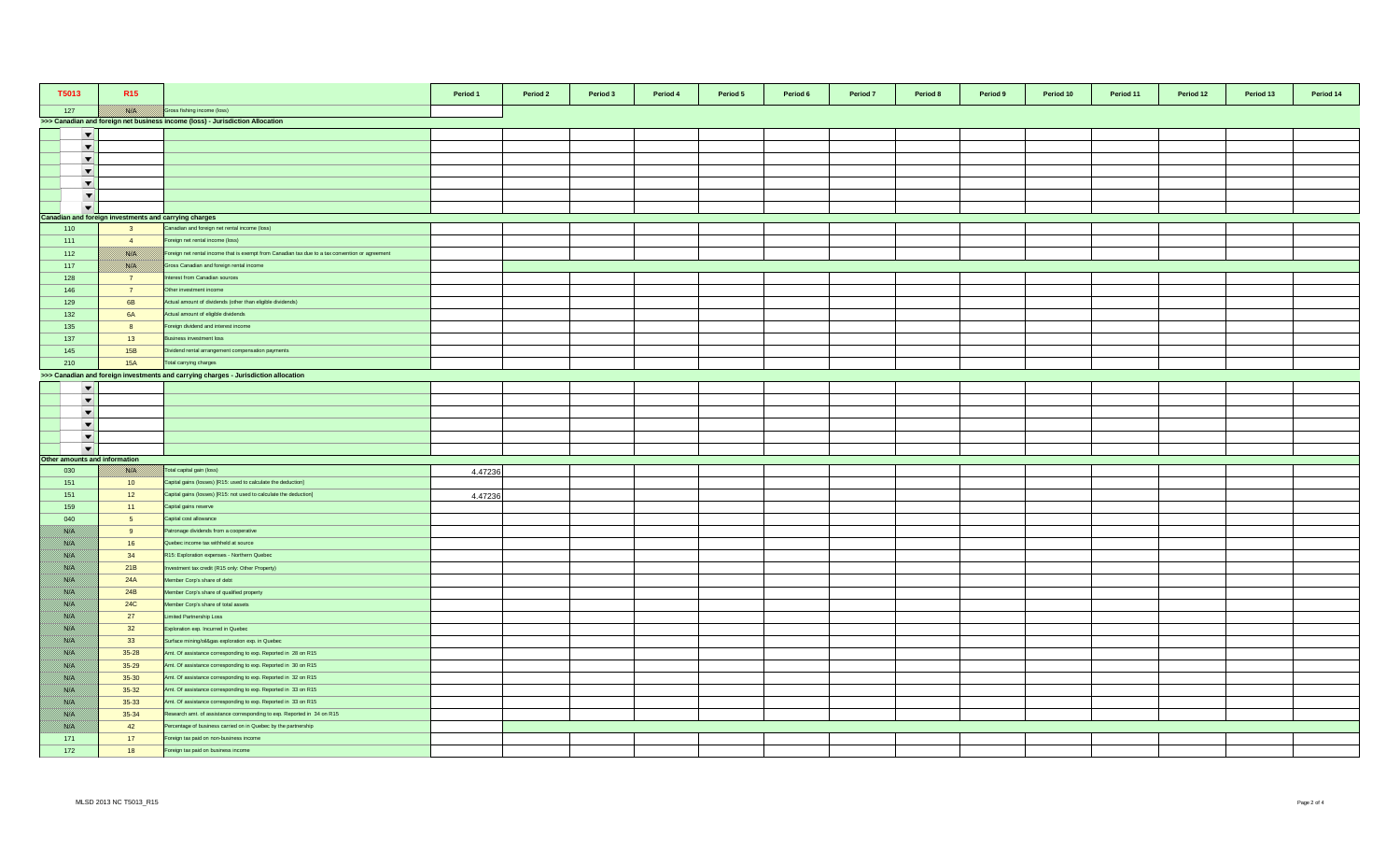| T5013                         | R <sub>15</sub>                                       |                                                                                                 | Period 1 | Period 2 | Period 3 | Period 4<br>Period 5 | Period 6 | Period 7 | Period 8 | Period 9 | Period 10 | Period 11 | Period 12 | Period 13 | Period 14 |
|-------------------------------|-------------------------------------------------------|-------------------------------------------------------------------------------------------------|----------|----------|----------|----------------------|----------|----------|----------|----------|-----------|-----------|-----------|-----------|-----------|
| 127                           |                                                       | Gross fishing income (loss)                                                                     |          |          |          |                      |          |          |          |          |           |           |           |           |           |
|                               |                                                       | >>> Canadian and foreign net business income (loss) - Jurisdiction Allocation                   |          |          |          |                      |          |          |          |          |           |           |           |           |           |
| $\overline{\phantom{a}}$      |                                                       |                                                                                                 |          |          |          |                      |          |          |          |          |           |           |           |           |           |
| $\overline{\phantom{a}}$      |                                                       |                                                                                                 |          |          |          |                      |          |          |          |          |           |           |           |           |           |
| $\overline{\phantom{a}}$      |                                                       |                                                                                                 |          |          |          |                      |          |          |          |          |           |           |           |           |           |
| $\blacktriangledown$          |                                                       |                                                                                                 |          |          |          |                      |          |          |          |          |           |           |           |           |           |
| $\blacktriangledown$          |                                                       |                                                                                                 |          |          |          |                      |          |          |          |          |           |           |           |           |           |
| $\blacktriangledown$          |                                                       |                                                                                                 |          |          |          |                      |          |          |          |          |           |           |           |           |           |
| $\overline{\phantom{0}}$      |                                                       |                                                                                                 |          |          |          |                      |          |          |          |          |           |           |           |           |           |
|                               | Canadian and foreign investments and carrying charges |                                                                                                 |          |          |          |                      |          |          |          |          |           |           |           |           |           |
| 110                           | $\overline{\mathbf{3}}$                               | Canadian and foreign net rental income (loss)                                                   |          |          |          |                      |          |          |          |          |           |           |           |           |           |
| 111                           | $\overline{4}$                                        | Foreign net rental income (loss)                                                                |          |          |          |                      |          |          |          |          |           |           |           |           |           |
| 112                           | <b>BARA</b>                                           | Foreign net rental income that is exempt from Canadian tax due to a tax convention or agreement |          |          |          |                      |          |          |          |          |           |           |           |           |           |
| 117                           | <b>BARTA</b>                                          | Gross Canadian and foreign rental income                                                        |          |          |          |                      |          |          |          |          |           |           |           |           |           |
| 128                           | $\overline{7}$                                        | terest from Canadian sources                                                                    |          |          |          |                      |          |          |          |          |           |           |           |           |           |
| 146                           | $\overline{7}$                                        | Other investment income                                                                         |          |          |          |                      |          |          |          |          |           |           |           |           |           |
| 129                           | 6B                                                    | Actual amount of dividends (other than eligible dividends)                                      |          |          |          |                      |          |          |          |          |           |           |           |           |           |
| 132                           | <b>6A</b>                                             | Actual amount of eligible dividends                                                             |          |          |          |                      |          |          |          |          |           |           |           |           |           |
| 135                           | 8                                                     | Foreign dividend and interest income                                                            |          |          |          |                      |          |          |          |          |           |           |           |           |           |
| 137                           | 13                                                    | Business investment loss                                                                        |          |          |          |                      |          |          |          |          |           |           |           |           |           |
| 145                           | 15B                                                   | Dividend rental arrangement compensation payments                                               |          |          |          |                      |          |          |          |          |           |           |           |           |           |
| 210                           | <b>15A</b>                                            | Total carrying charges                                                                          |          |          |          |                      |          |          |          |          |           |           |           |           |           |
|                               |                                                       | >>> Canadian and foreign investments and carrying charges - Jurisdiction allocation             |          |          |          |                      |          |          |          |          |           |           |           |           |           |
| $\overline{\phantom{a}}$      |                                                       |                                                                                                 |          |          |          |                      |          |          |          |          |           |           |           |           |           |
| $\overline{\phantom{a}}$      |                                                       |                                                                                                 |          |          |          |                      |          |          |          |          |           |           |           |           |           |
| $\overline{\phantom{a}}$      |                                                       |                                                                                                 |          |          |          |                      |          |          |          |          |           |           |           |           |           |
| $\overline{\phantom{a}}$      |                                                       |                                                                                                 |          |          |          |                      |          |          |          |          |           |           |           |           |           |
| $\blacktriangledown$          |                                                       |                                                                                                 |          |          |          |                      |          |          |          |          |           |           |           |           |           |
| $\overline{\phantom{a}}$      |                                                       |                                                                                                 |          |          |          |                      |          |          |          |          |           |           |           |           |           |
| Other amounts and information |                                                       |                                                                                                 |          |          |          |                      |          |          |          |          |           |           |           |           |           |
| 030                           | <b>BATH</b>                                           | Total capital gain (loss)                                                                       | 4.47236  |          |          |                      |          |          |          |          |           |           |           |           |           |
| 151                           | 10 <sup>°</sup>                                       | Capital gains (losses) [R15: used to calculate the deduction]                                   |          |          |          |                      |          |          |          |          |           |           |           |           |           |
| 151                           | 12                                                    | Capital gains (losses) [R15: not used to calculate the deduction]                               | 4.47236  |          |          |                      |          |          |          |          |           |           |           |           |           |
| 159                           | 11                                                    | Capital gains reserve                                                                           |          |          |          |                      |          |          |          |          |           |           |           |           |           |
| 040                           | 5 <sub>5</sub>                                        | Capital cost allowance                                                                          |          |          |          |                      |          |          |          |          |           |           |           |           |           |
| <u> Birliy</u>                | 9                                                     | Patronage dividends from a cooperative                                                          |          |          |          |                      |          |          |          |          |           |           |           |           |           |
| <u> British</u>               | 16                                                    | Quebec income tax withheld at source                                                            |          |          |          |                      |          |          |          |          |           |           |           |           |           |
| <u> British</u>               | 34                                                    | R15: Exploration expenses - Northern Quebec                                                     |          |          |          |                      |          |          |          |          |           |           |           |           |           |
| <u> Birth</u>                 | 21B                                                   | westment tax credit (R15 only: Other Property)                                                  |          |          |          |                      |          |          |          |          |           |           |           |           |           |
| <u>filman</u>                 | 24A                                                   | Member Corp's share of debt                                                                     |          |          |          |                      |          |          |          |          |           |           |           |           |           |
| BANG K                        | 24B                                                   | Member Corp's share of qualified property                                                       |          |          |          |                      |          |          |          |          |           |           |           |           |           |
| //www                         | <b>24C</b>                                            | Member Corp's share of total assets                                                             |          |          |          |                      |          |          |          |          |           |           |           |           |           |
| film ann a                    | 27                                                    | Limited Partnership Loss                                                                        |          |          |          |                      |          |          |          |          |           |           |           |           |           |
| Birth M                       | 32                                                    | Exploration exp. Incurred in Quebec                                                             |          |          |          |                      |          |          |          |          |           |           |           |           |           |
| <u> British</u>               | 33                                                    | Surface mining/oil&gas exploration exp. in Quebec                                               |          |          |          |                      |          |          |          |          |           |           |           |           |           |
| <u>filman</u>                 | $35 - 28$                                             | Amt. Of assistance corresponding to exp. Reported in 28 on R15                                  |          |          |          |                      |          |          |          |          |           |           |           |           |           |
| //www                         | $35 - 29$                                             | Amt. Of assistance corresponding to exp. Reported in 30 on R15                                  |          |          |          |                      |          |          |          |          |           |           |           |           |           |
| <u> British</u>               | $35 - 30$                                             | Amt. Of assistance corresponding to exp. Reported in 32 on R15                                  |          |          |          |                      |          |          |          |          |           |           |           |           |           |
| <u> Birth</u>                 | $35 - 32$                                             | Amt. Of assistance corresponding to exp. Reported in 33 on R15                                  |          |          |          |                      |          |          |          |          |           |           |           |           |           |
| BAKT S                        | $35 - 33$                                             | Amt. Of assistance corresponding to exp. Reported in 33 on R15                                  |          |          |          |                      |          |          |          |          |           |           |           |           |           |
| <u> British</u>               | $35 - 34$                                             | Research amt. of assistance corresponding to exp. Reported in 34 on R15                         |          |          |          |                      |          |          |          |          |           |           |           |           |           |
| //www                         | 42                                                    | Percentage of business carried on in Quebec by the partnership                                  |          |          |          |                      |          |          |          |          |           |           |           |           |           |
| 171                           | 17                                                    | Foreign tax paid on non-business income                                                         |          |          |          |                      |          |          |          |          |           |           |           |           |           |
| 172                           | 18                                                    | Foreign tax paid on business income                                                             |          |          |          |                      |          |          |          |          |           |           |           |           |           |
|                               |                                                       |                                                                                                 |          |          |          |                      |          |          |          |          |           |           |           |           |           |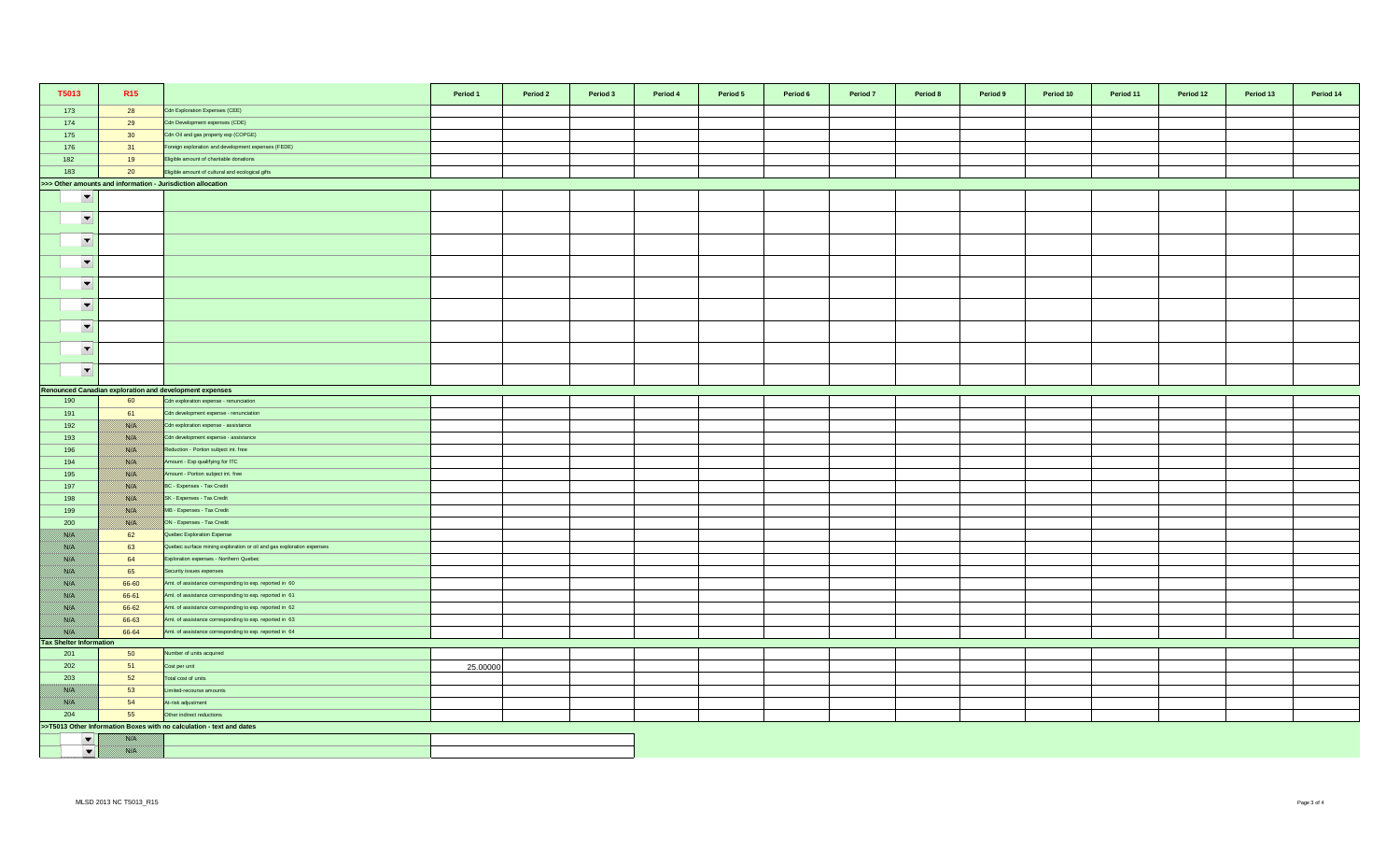| T5013                          | R <sub>15</sub> |                                                                       | Period 1 | Period 2 | Period 3 | Period 4 | Period 5 | Period 6 | Period 7 | Period 8 | Period 9 | Period 10 | Period 11 | Period 12 | Period 13 | Period 14 |
|--------------------------------|-----------------|-----------------------------------------------------------------------|----------|----------|----------|----------|----------|----------|----------|----------|----------|-----------|-----------|-----------|-----------|-----------|
| 173                            | 28              | Cdn Exploration Expenses (CEE)                                        |          |          |          |          |          |          |          |          |          |           |           |           |           |           |
| 174                            | 29              | Cdn Development expenses (CDE)                                        |          |          |          |          |          |          |          |          |          |           |           |           |           |           |
| 175                            | 30              | Cdn Oil and gas property exp (COPGE)                                  |          |          |          |          |          |          |          |          |          |           |           |           |           |           |
| 176                            | 31              | Foreign exploration and development expenses (FEDE)                   |          |          |          |          |          |          |          |          |          |           |           |           |           |           |
| 182                            | 19              | Eligible amount of charitable donations                               |          |          |          |          |          |          |          |          |          |           |           |           |           |           |
| 183                            | 20              | Eligible amount of cultural and ecological gifts                      |          |          |          |          |          |          |          |          |          |           |           |           |           |           |
|                                |                 | >>> Other amounts and information - Jurisdiction allocation           |          |          |          |          |          |          |          |          |          |           |           |           |           |           |
| $\overline{\phantom{a}}$       |                 |                                                                       |          |          |          |          |          |          |          |          |          |           |           |           |           |           |
| $\overline{\phantom{a}}$       |                 |                                                                       |          |          |          |          |          |          |          |          |          |           |           |           |           |           |
| $\overline{\phantom{a}}$       |                 |                                                                       |          |          |          |          |          |          |          |          |          |           |           |           |           |           |
| $\overline{\phantom{a}}$       |                 |                                                                       |          |          |          |          |          |          |          |          |          |           |           |           |           |           |
| $\overline{\phantom{a}}$       |                 |                                                                       |          |          |          |          |          |          |          |          |          |           |           |           |           |           |
| $\overline{\phantom{a}}$       |                 |                                                                       |          |          |          |          |          |          |          |          |          |           |           |           |           |           |
| $\overline{\phantom{a}}$       |                 |                                                                       |          |          |          |          |          |          |          |          |          |           |           |           |           |           |
| $\overline{\phantom{a}}$       |                 |                                                                       |          |          |          |          |          |          |          |          |          |           |           |           |           |           |
| $\blacktriangledown$           |                 |                                                                       |          |          |          |          |          |          |          |          |          |           |           |           |           |           |
|                                |                 | Renounced Canadian exploration and development expenses               |          |          |          |          |          |          |          |          |          |           |           |           |           |           |
| 190                            | 60              | Cdn exploration expense - renunciation                                |          |          |          |          |          |          |          |          |          |           |           |           |           |           |
| 191                            | 61              | Cdn development expense - renunciation                                |          |          |          |          |          |          |          |          |          |           |           |           |           |           |
| 192                            | <u> Karlin</u>  | Cdn exploration expense - assistance                                  |          |          |          |          |          |          |          |          |          |           |           |           |           |           |
| 193                            |                 | Cdn development expense - assistance                                  |          |          |          |          |          |          |          |          |          |           |           |           |           |           |
| 196                            |                 | Reduction - Portion subject int. free                                 |          |          |          |          |          |          |          |          |          |           |           |           |           |           |
| 194                            |                 | Amount - Exp qualifying for ITC                                       |          |          |          |          |          |          |          |          |          |           |           |           |           |           |
| 195                            | <u> ISSUS I</u> | mount - Portion subject int. free                                     |          |          |          |          |          |          |          |          |          |           |           |           |           |           |
| 197                            | <u> Karlin</u>  | BC - Expenses - Tax Credit                                            |          |          |          |          |          |          |          |          |          |           |           |           |           |           |
| 198                            |                 | SK - Expenses - Tax Credit                                            |          |          |          |          |          |          |          |          |          |           |           |           |           |           |
| 199                            |                 | MB - Expenses - Tax Credit                                            |          |          |          |          |          |          |          |          |          |           |           |           |           |           |
| 200                            | USSA S          | ON - Expenses - Tax Credit                                            |          |          |          |          |          |          |          |          |          |           |           |           |           |           |
| film an                        | 62              | Quebec Exploration Expense                                            |          |          |          |          |          |          |          |          |          |           |           |           |           |           |
| <u> Birth I</u>                | 63              | Quebec surface mining exploration or oil and gas exploration expenses |          |          |          |          |          |          |          |          |          |           |           |           |           |           |
| <u> British</u>                | 64              | Exploration expenses - Northern Quebec                                |          |          |          |          |          |          |          |          |          |           |           |           |           |           |
| <u> Wisselri</u>               | 65              | Security issues expenses                                              |          |          |          |          |          |          |          |          |          |           |           |           |           |           |
| 78. S                          | 66-60           | Amt. of assistance corresponding to exp. reported in 60               |          |          |          |          |          |          |          |          |          |           |           |           |           |           |
| film an                        | 66-61           | Amt. of assistance corresponding to exp. reported in 61               |          |          |          |          |          |          |          |          |          |           |           |           |           |           |
| <u>filman</u>                  | 66-62           | Amt. of assistance corresponding to exp. reported in 62               |          |          |          |          |          |          |          |          |          |           |           |           |           |           |
| <u> Biblioth</u>               | 66-63           | Amt. of assistance corresponding to exp. reported in 63               |          |          |          |          |          |          |          |          |          |           |           |           |           |           |
|                                | 66-64           | Amt. of assistance corresponding to exp. reported in 64               |          |          |          |          |          |          |          |          |          |           |           |           |           |           |
| <b>Tax Shelter Information</b> |                 |                                                                       |          |          |          |          |          |          |          |          |          |           |           |           |           |           |
| 201                            | 50              | lumber of units acquired                                              |          |          |          |          |          |          |          |          |          |           |           |           |           |           |
| 202                            | 51              | Cost per unit                                                         | 25.00000 |          |          |          |          |          |          |          |          |           |           |           |           |           |
| 203                            | 52              | Total cost of units                                                   |          |          |          |          |          |          |          |          |          |           |           |           |           |           |
|                                | 53              | imited-recourse amounts                                               |          |          |          |          |          |          |          |          |          |           |           |           |           |           |
| <u>    Kisiki </u>             | 54              | At-risk adjustment                                                    |          |          |          |          |          |          |          |          |          |           |           |           |           |           |
| 204                            | 55              | Other indirect reductions                                             |          |          |          |          |          |          |          |          |          |           |           |           |           |           |
|                                |                 | >>T5013 Other Information Boxes with no calculation - text and dates  |          |          |          |          |          |          |          |          |          |           |           |           |           |           |
| $\blacktriangledown$           |                 |                                                                       |          |          |          |          |          |          |          |          |          |           |           |           |           |           |
| $\blacktriangledown$           | film an         |                                                                       |          |          |          |          |          |          |          |          |          |           |           |           |           |           |